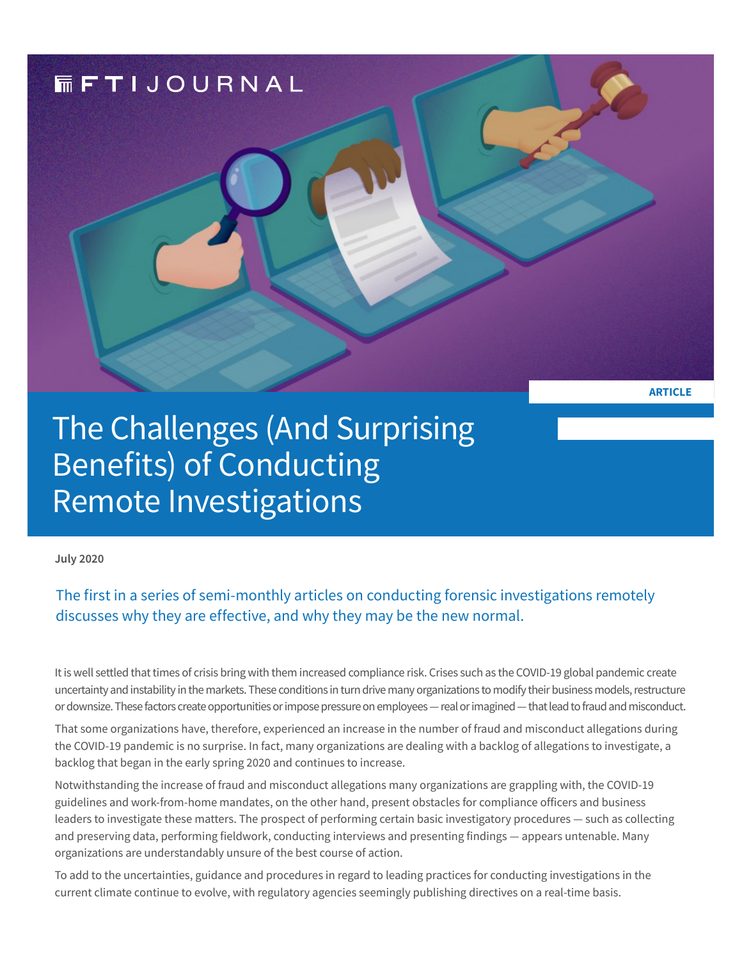

The Challenges (And Surprising Benefits) of Conducting Remote Investigations

**July 2020** 

The first in a series of semi-monthly articles on conducting forensic investigations remotely discusses why they are effective, and why they may be the new normal.

It is well settled that times of crisis bring with them increased compliance risk. Crises such as the COVID-19 global pandemic create uncertainty and instability in the markets. These conditions in turn drive many organizations to modify their business models, restructure or downsize. These factors create opportunities or impose pressure on employees — real or imagined — that lead to fraud and misconduct.

That some organizations have, therefore, experienced an increase in the number of fraud and misconduct allegations during the COVID-19 pandemic is no surprise. In fact, many organizations are dealing with a backlog of allegations to investigate, a backlog that began in the early spring 2020 and continues to increase.

Notwithstanding the increase of fraud and misconduct allegations many organizations are grappling with, the COVID-19 guidelines and work-from-home mandates, on the other hand, present obstacles for compliance officers and business leaders to investigate these matters. The prospect of performing certain basic investigatory procedures — such as collecting and preserving data, performing fieldwork, conducting interviews and presenting findings — appears untenable. Many organizations are understandably unsure of the best course of action.

To add to the uncertainties, guidance and procedures in regard to leading practices for conducting investigations in the current climate continue to evolve, with regulatory agencies seemingly publishing directives on a real-time basis.